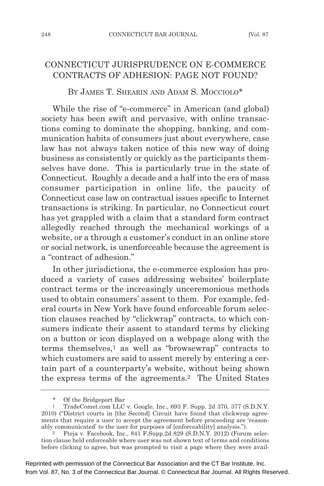## CONNECTICUT JURISPRUDENCE ON E-COMMERCE CONTRACTS OF ADHESION: PAGE NOT FOUND?

BY JAMES T. SHEARIN AND ADAM S. MOCCIOLO\*

While the rise of "e-commerce" in American (and global) society has been swift and pervasive, with online transactions coming to dominate the shopping, banking, and communication habits of consumers just about everywhere, case law has not always taken notice of this new way of doing business as consistently or quickly as the participants themselves have done. This is particularly true in the state of Connecticut. Roughly a decade and a half into the era of mass consumer participation in online life, the paucity of Connecticut case law on contractual issues specific to Internet transactions is striking. In particular, no Connecticut court has yet grappled with a claim that a standard form contract allegedly reached through the mechanical workings of a website, or a through a customer's conduct in an online store or social network, is unenforceable because the agreement is a "contract of adhesion."

In other jurisdictions, the e-commerce explosion has produced a variety of cases addressing websites' boilerplate contract terms or the increasingly unceremonious methods used to obtain consumers' assent to them. For example, federal courts in New York have found enforceable forum selection clauses reached by "clickwrap" contracts, to which consumers indicate their assent to standard terms by clicking on a button or icon displayed on a webpage along with the terms themselves,1 as well as "browsewrap" contracts to which customers are said to assent merely by entering a certain part of a counterparty's website, without being shown the express terms of the agreements.2 The United States

<sup>\*</sup> Of the Bridgeport Bar<br>1 TradeComet.com LLC

<sup>1</sup> TradeComet.com LLC v. Google, Inc., 693 F. Supp. 2d 370, 377 (S.D.N.Y. 2010) ("District courts in [the Second] Circuit have found that clickwrap agreements that require a user to accept the agreement before proceeding are 'reasonably communicated' to the user for purposes of [enforceability] analysis.").

<sup>2</sup> Fteja v. Facebook, Inc., 841 F.Supp.2d 829 (S.D.N.Y. 2012) (Forum selection clause held enforceable where user was not shown text of terms and conditions before clicking to agree, but was prompted to visit a page where they were avail-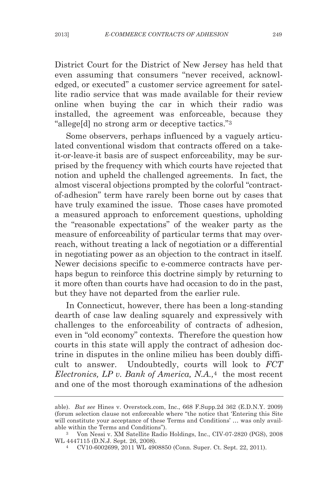District Court for the District of New Jersey has held that even assuming that consumers "never received, acknowledged, or executed" a customer service agreement for satellite radio service that was made available for their review online when buying the car in which their radio was installed, the agreement was enforceable, because they "allege[d] no strong arm or deceptive tactics."3

Some observers, perhaps influenced by a vaguely articulated conventional wisdom that contracts offered on a takeit-or-leave-it basis are of suspect enforceability, may be surprised by the frequency with which courts have rejected that notion and upheld the challenged agreements. In fact, the almost visceral objections prompted by the colorful "contractof-adhesion" term have rarely been borne out by cases that have truly examined the issue. Those cases have promoted a measured approach to enforcement questions, upholding the "reasonable expectations" of the weaker party as the measure of enforceability of particular terms that may overreach, without treating a lack of negotiation or a differential in negotiating power as an objection to the contract in itself. Newer decisions specific to e-commerce contracts have perhaps begun to reinforce this doctrine simply by returning to it more often than courts have had occasion to do in the past, but they have not departed from the earlier rule.

In Connecticut, however, there has been a long-standing dearth of case law dealing squarely and expressively with challenges to the enforceability of contracts of adhesion, even in "old economy" contexts. Therefore the question how courts in this state will apply the contract of adhesion doctrine in disputes in the online milieu has been doubly difficult to answer. Undoubtedly, courts will look to *FCT Electronics, LP v. Bank of America, N.A.,*<sup>4</sup> the most recent and one of the most thorough examinations of the adhesion

able). *But see* Hines v. Overstock.com, Inc., 668 F.Supp.2d 362 (E.D.N.Y. 2009) (forum selection clause not enforceable where "the notice that 'Entering this Site will constitute your acceptance of these Terms and Conditions' … was only available within the Terms and Conditions").

<sup>3</sup> Von Nessi v. XM Satellite Radio Holdings, Inc., CIV-07-2820 (PGS), 2008 WL 4447115 (D.N.J. Sept. 26, 2008).

<sup>4</sup> CV10-6002699, 2011 WL 4908850 (Conn. Super. Ct. Sept. 22, 2011).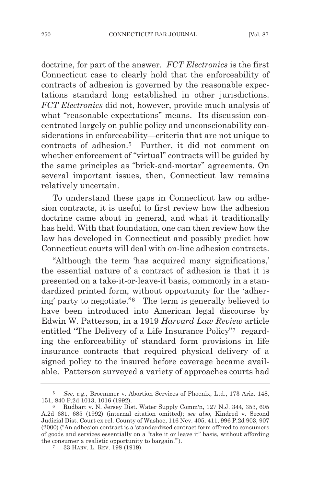doctrine, for part of the answer. *FCT Electronics* is the first Connecticut case to clearly hold that the enforceability of contracts of adhesion is governed by the reasonable expectations standard long established in other jurisdictions. *FCT Electronics* did not, however, provide much analysis of what "reasonable expectations" means. Its discussion concentrated largely on public policy and unconscionability considerations in enforceability—criteria that are not unique to contracts of adhesion.5 Further, it did not comment on whether enforcement of "virtual" contracts will be guided by the same principles as "brick-and-mortar" agreements. On several important issues, then, Connecticut law remains relatively uncertain.

To understand these gaps in Connecticut law on adhesion contracts, it is useful to first review how the adhesion doctrine came about in general, and what it traditionally has held. With that foundation, one can then review how the law has developed in Connecticut and possibly predict how Connecticut courts will deal with on-line adhesion contracts.

"Although the term 'has acquired many significations,' the essential nature of a contract of adhesion is that it is presented on a take-it-or-leave-it basis, commonly in a standardized printed form, without opportunity for the 'adhering' party to negotiate."6 The term is generally believed to have been introduced into American legal discourse by Edwin W. Patterson, in a 1919 *Harvard Law Review* article entitled "The Delivery of a Life Insurance Policy"7 regarding the enforceability of standard form provisions in life insurance contracts that required physical delivery of a signed policy to the insured before coverage became available. Patterson surveyed a variety of approaches courts had

<sup>5</sup> *See, e.g.,* Broemmer v. Abortion Services of Phoenix, Ltd., 173 Ariz. 148, 151, 840 P.2d 1013, 1016 (1992).

<sup>6</sup> Rudbart v. N. Jersey Dist. Water Supply Comm'n, 127 N.J. 344, 353, 605 A.2d 681, 685 (1992) (internal citation omitted); *see also,* Kindred v. Second Judicial Dist. Court ex rel. County of Washoe, 116 Nev. 405, 411, 996 P.2d 903, 907 (2000) ("An adhesion contract is a 'standardized contract form offered to consumers of goods and services essentially on a "take it or leave it" basis, without affording the consumer a realistic opportunity to bargain.'").

<sup>7</sup> 33 HARV. L. REV. 198 (1919).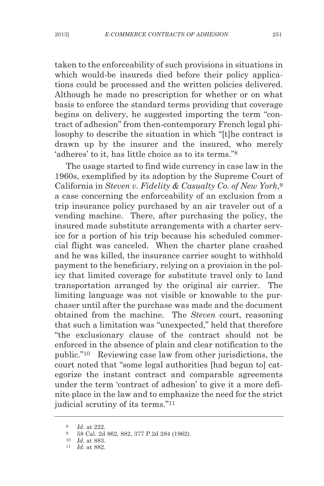taken to the enforceability of such provisions in situations in which would-be insureds died before their policy applications could be processed and the written policies delivered. Although he made no prescription for whether or on what basis to enforce the standard terms providing that coverage begins on delivery, he suggested importing the term "contract of adhesion" from then-contemporary French legal philosophy to describe the situation in which "[t]he contract is drawn up by the insurer and the insured, who merely 'adheres' to it, has little choice as to its terms."8

The usage started to find wide currency in case law in the 1960s, exemplified by its adoption by the Supreme Court of California in *Steven v. Fidelity & Casualty Co. of New York*,9 a case concerning the enforceability of an exclusion from a trip insurance policy purchased by an air traveler out of a vending machine. There, after purchasing the policy, the insured made substitute arrangements with a charter service for a portion of his trip because his scheduled commercial flight was canceled. When the charter plane crashed and he was killed, the insurance carrier sought to withhold payment to the beneficiary, relying on a provision in the policy that limited coverage for substitute travel only to land transportation arranged by the original air carrier. The limiting language was not visible or knowable to the purchaser until after the purchase was made and the document obtained from the machine. The *Steven* court, reasoning that such a limitation was "unexpected," held that therefore "the exclusionary clause of the contract should not be enforced in the absence of plain and clear notification to the public."10 Reviewing case law from other jurisdictions, the court noted that "some legal authorities [had begun to] categorize the instant contract and comparable agreements under the term 'contract of adhesion' to give it a more definite place in the law and to emphasize the need for the strict judicial scrutiny of its terms."11

<sup>8</sup> *Id*. at 222.

<sup>9</sup> 58 Cal. 2d 862, 882, 377 P.2d 284 (1962).

<sup>10</sup> *Id*. at 883.

<sup>11</sup> *Id*. at 882.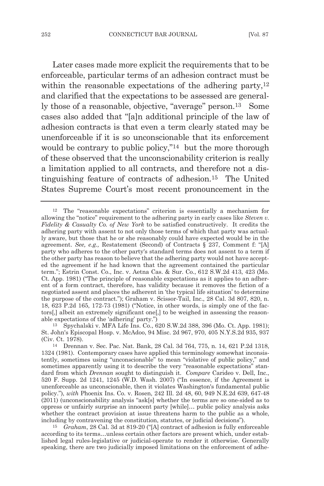Later cases made more explicit the requirements that to be enforceable, particular terms of an adhesion contract must be within the reasonable expectations of the adhering party,<sup>12</sup> and clarified that the expectations to be assessed are generally those of a reasonable, objective, "average" person.<sup>13</sup> Some cases also added that "[a]n additional principle of the law of adhesion contracts is that even a term clearly stated may be unenforceable if it is so unconscionable that its enforcement would be contrary to public policy,"14 but the more thorough of these observed that the unconscionability criterion is really a limitation applied to all contracts, and therefore not a distinguishing feature of contracts of adhesion.15 The United States Supreme Court's most recent pronouncement in the

15 *Graham*, 28 Cal. 3d at 819-20 ("[A] contract of adhesion is fully enforceable according to its terms…unless certain other factors are present which, under established legal rules-legislative or judicial-operate to render it otherwise. Generally speaking, there are two judicially imposed limitations on the enforcement of adhe-

<sup>12</sup> The "reasonable expectations" criterion is essentially a mechanism for allowing the "notice" requirement to the adhering party in early cases like *Steven v. Fidelity & Casualty Co. of New York* to be satisfied constructively. It credits the adhering party with assent to not only those terms of which that party was actually aware, but those that he or she reasonably could have expected would be in the agreement. *See, e.g.,* Restatement (Second) of Contracts § 237, Comment f: "[A] party who adheres to the other party's standard terms does not assent to a term if the other party has reason to believe that the adhering party would not have accepted the agreement if he had known that the agreement contained the particular term."; Estrin Const. Co., Inc. v. Aetna Cas. & Sur. Co., 612 S.W.2d 413, 423 (Mo. Ct. App. 1981) ("The principle of reasonable expectations as it applies to an adherent of a form contract, therefore, has validity because it removes the fiction of a negotiated assent and places the adherent in 'the typical life situation' to determine the purpose of the contract."); Graham v. Scissor-Tail, Inc., 28 Cal. 3d 807, 820, n. 18, 623 P.2d 165, 172-73 (1981) ("Notice, in other words, is simply one of the factors[,] albeit an extremely significant one[,] to be weighed in assessing the reasonable expectations of the 'adhering' party.")

<sup>13</sup> Spychalski v. MFA Life Ins. Co., 620 S.W.2d 388, 396 (Mo. Ct. App. 1981); St. John's Episcopal Hosp. v. McAdoo, 94 Misc. 2d 967, 970, 405 N.Y.S.2d 935, 937 (Civ. Ct. 1978).

<sup>14</sup> Drennan v. Sec. Pac. Nat. Bank, 28 Cal. 3d 764, 775, n. 14, 621 P.2d 1318, 1324 (1981). Contemporary cases have applied this terminology somewhat inconsistently, sometimes using "unconscionable" to mean "violative of public policy," and sometimes apparently using it to describe the very "reasonable expectations" standard from which *Drennan* sought to distinguish it. *Compare* Carideo v. Dell, Inc., 520 F. Supp. 2d 1241, 1245 (W.D. Wash. 2007) ("In essence, if the Agreement is unenforceable as unconscionable, then it violates Washington's fundamental public policy."), *with* Phoenix Ins. Co. v. Rosen, 242 Ill. 2d 48, 60, 949 N.E.2d 639, 647-48 (2011) (unconscionability analysis "ask[s] whether the terms are so one-sided as to oppress or unfairly surprise an innocent party [while]… public policy analysis asks whether the contract provision at issue threatens harm to the public as a whole, including by contravening the constitution, statutes, or judicial decisions").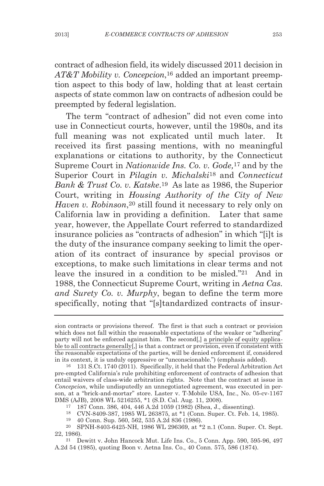contract of adhesion field, its widely discussed 2011 decision in *AT&T Mobility v. Concepcion*,16 added an important preemption aspect to this body of law, holding that at least certain aspects of state common law on contracts of adhesion could be preempted by federal legislation.

The term "contract of adhesion" did not even come into use in Connecticut courts, however, until the 1980s, and its full meaning was not explicated until much later. It received its first passing mentions, with no meaningful explanations or citations to authority, by the Connecticut Supreme Court in *Nationwide Ins. Co. v. Gode,*<sup>17</sup> and by the Superior Court in *Pilagin v. Michalski*<sup>18</sup> and *Connecticut Bank & Trust Co. v. Katske*.19 As late as 1986, the Superior Court, writing in *Housing Authority of the City of New Haven v. Robinson*<sup>20</sup> still found it necessary to rely only on California law in providing a definition. Later that same year, however, the Appellate Court referred to standardized insurance policies as "contracts of adhesion" in which "[i]t is the duty of the insurance company seeking to limit the operation of its contract of insurance by special provisos or exceptions, to make such limitations in clear terms and not leave the insured in a condition to be misled."21 And in 1988, the Connecticut Supreme Court, writing in *Aetna Cas. and Surety Co. v. Murphy*, began to define the term more specifically, noting that "[s]tandardized contracts of insur-

sion contracts or provisions thereof. The first is that such a contract or provision which does not fall within the reasonable expectations of the weaker or "adhering" party will not be enforced against him. The second[,] a principle of equity applicable to all contracts generally[,] is that a contract or provision, even if consistent with the reasonable expectations of the parties, will be denied enforcement if, considered in its context, it is unduly oppressive or "unconscionable.") (emphasis added).

<sup>16</sup> 131 S.Ct. 1740 (2011). Specifically, it held that the Federal Arbitration Act pre-empted California's rule prohibiting enforcement of contracts of adhesion that entail waivers of class-wide arbitration rights. Note that the contract at issue in *Concepcion*, while undisputedly an unnegotiated agreement, was executed in person, at a "brick-and-mortar" store. Laster v. T-Mobile USA, Inc., No. 05-cv-1167 DMS (AJB), 2008 WL 5216255, \*1 (S.D. Cal. Aug. 11, 2008).

<sup>17</sup> 187 Conn. 386, 404, 446 A.2d 1059 (1982) (Shea, J., dissenting).

<sup>18</sup> CVN-8409-387, 1985 WL 263875, at \*1 (Conn. Super. Ct. Feb. 14, 1985).

<sup>19</sup> 40 Conn. Sup. 560, 562, 535 A.2d 836 (1986).

<sup>20</sup> SPNH-8403-6425-NH, 1986 WL 296369, at \*2 n.1 (Conn. Super. Ct. Sept. 22, 1986).

<sup>21</sup> Dewitt v. John Hancock Mut. Life Ins. Co., 5 Conn. App. 590, 595-96, 497 A.2d 54 (1985), quoting Boon v. Aetna Ins. Co., 40 Conn. 575, 586 (1874).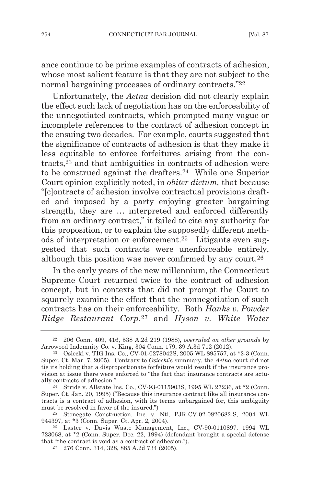ance continue to be prime examples of contracts of adhesion, whose most salient feature is that they are not subject to the normal bargaining processes of ordinary contracts."22

Unfortunately, the *Aetna* decision did not clearly explain the effect such lack of negotiation has on the enforceability of the unnegotiated contracts, which prompted many vague or incomplete references to the contract of adhesion concept in the ensuing two decades. For example, courts suggested that the significance of contracts of adhesion is that they make it less equitable to enforce forfeitures arising from the contracts,23 and that ambiguities in contracts of adhesion were to be construed against the drafters.24 While one Superior Court opinion explicitly noted, in *obiter dictum,* that because "[c]ontracts of adhesion involve contractual provisions drafted and imposed by a party enjoying greater bargaining strength, they are … interpreted and enforced differently from an ordinary contract," it failed to cite any authority for this proposition, or to explain the supposedly different methods of interpretation or enforcement.25 Litigants even suggested that such contracts were unenforceable entirely, although this position was never confirmed by any court.26

In the early years of the new millennium, the Connecticut Supreme Court returned twice to the contract of adhesion concept, but in contexts that did not prompt the Court to squarely examine the effect that the nonnegotiation of such contracts has on their enforceability. Both *Hanks v. Powder Ridge Restaurant Corp*.27 and *Hyson v. White Water*

<sup>22</sup> 206 Conn. 409, 416, 538 A.2d 219 (1988), *overruled on other grounds* by Arrowood Indemnity Co. v. King, 304 Conn. 179, 39 A.3d 712 (2012).

<sup>23</sup> Osiecki v. TIG Ins. Co., CV-01-0278042S, 2005 WL 895757, at \*2-3 (Conn. Super. Ct. Mar. 7, 2005). Contrary to *Osiecki*'s summary, the *Aetna* court did not tie its holding that a disproportionate forfeiture would result if the insurance provision at issue there were enforced to "the fact that insurance contracts are actually contracts of adhesion."

<sup>24</sup> Stride v. Allstate Ins. Co., CV-93-0115903S, 1995 WL 27236, at \*2 (Conn. Super. Ct. Jan. 20, 1995) ("Because this insurance contract like all insurance contracts is a contract of adhesion, with its terms unbargained for, this ambiguity must be resolved in favor of the insured.")

<sup>25</sup> Stonegate Construction, Inc. v. Nti, PJR-CV-02-0820682-S, 2004 WL 944397, at \*3 (Conn. Super. Ct. Apr. 2, 2004).

<sup>26</sup> Laster v. Davis Waste Management, Inc., CV-90-0110897, 1994 WL 723068, at \*2 (Conn. Super. Dec. 22, 1994) (defendant brought a special defense that "the contract is void as a contract of adhesion.").

<sup>27</sup> 276 Conn. 314, 328, 885 A.2d 734 (2005).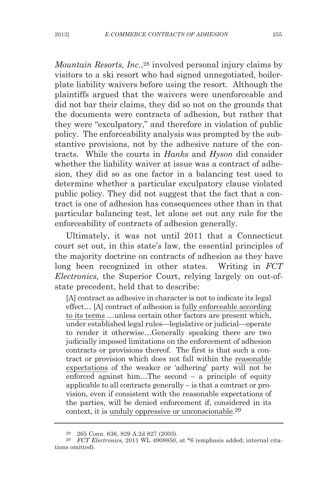*Mountain Resorts, Inc.*,28 involved personal injury claims by visitors to a ski resort who had signed unnegotiated, boilerplate liability waivers before using the resort. Although the plaintiffs argued that the waivers were unenforceable and did not bar their claims, they did so not on the grounds that the documents were contracts of adhesion, but rather that they were "exculpatory," and therefore in violation of public policy. The enforceability analysis was prompted by the substantive provisions, not by the adhesive nature of the contracts. While the courts in *Hanks* and *Hyson* did consider whether the liability waiver at issue was a contract of adhesion, they did so as one factor in a balancing test used to determine whether a particular exculpatory clause violated public policy. They did not suggest that the fact that a contract is one of adhesion has consequences other than in that particular balancing test, let alone set out any rule for the enforceability of contracts of adhesion generally.

Ultimately, it was not until 2011 that a Connecticut court set out, in this state's law, the essential principles of the majority doctrine on contracts of adhesion as they have long been recognized in other states. Writing in *FCT Electronics,* the Superior Court, relying largely on out-ofstate precedent, held that to describe:

[A] contract as adhesive in character is not to indicate its legal effect… [A] contract of adhesion is fully enforceable according to its terms …unless certain other factors are present which, under established legal rules—legislative or judicial—operate to render it otherwise…Generally speaking there are two judicially imposed limitations on the enforcement of adhesion contracts or provisions thereof. The first is that such a contract or provision which does not fall within the reasonable expectations of the weaker or 'adhering' party will not be enforced against him…The second – a principle of equity applicable to all contracts generally – is that a contract or provision, even if consistent with the reasonable expectations of the parties, will be denied enforcement if, considered in its context, it is unduly oppressive or unconscionable.29

<sup>28</sup> 265 Conn. 636, 829 A.2d 827 (2003).

<sup>29</sup> *FCT Electronics,* 2011 WL 4908850, at \*6 (emphasis added; internal citations omitted).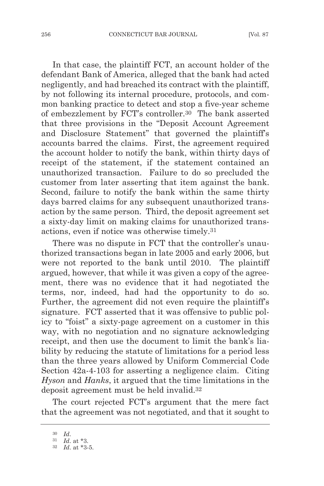In that case, the plaintiff FCT, an account holder of the defendant Bank of America, alleged that the bank had acted negligently, and had breached its contract with the plaintiff, by not following its internal procedure, protocols, and common banking practice to detect and stop a five-year scheme of embezzlement by FCT's controller.30 The bank asserted that three provisions in the "Deposit Account Agreement and Disclosure Statement" that governed the plaintiff's accounts barred the claims. First, the agreement required the account holder to notify the bank, within thirty days of receipt of the statement, if the statement contained an unauthorized transaction. Failure to do so precluded the customer from later asserting that item against the bank. Second, failure to notify the bank within the same thirty days barred claims for any subsequent unauthorized transaction by the same person. Third, the deposit agreement set a sixty-day limit on making claims for unauthorized transactions, even if notice was otherwise timely.31

There was no dispute in FCT that the controller's unauthorized transactions began in late 2005 and early 2006, but were not reported to the bank until 2010. The plaintiff argued, however, that while it was given a copy of the agreement, there was no evidence that it had negotiated the terms, nor, indeed, had had the opportunity to do so. Further, the agreement did not even require the plaintiff's signature. FCT asserted that it was offensive to public policy to "foist" a sixty-page agreement on a customer in this way, with no negotiation and no signature acknowledging receipt, and then use the document to limit the bank's liability by reducing the statute of limitations for a period less than the three years allowed by Uniform Commercial Code Section 42a-4-103 for asserting a negligence claim. Citing *Hyson* and *Hanks*, it argued that the time limitations in the deposit agreement must be held invalid.32

The court rejected FCT's argument that the mere fact that the agreement was not negotiated, and that it sought to

<sup>30</sup> *Id*.

<sup>31</sup> *Id*. at \*3.

<sup>32</sup> *Id*. at \*3-5.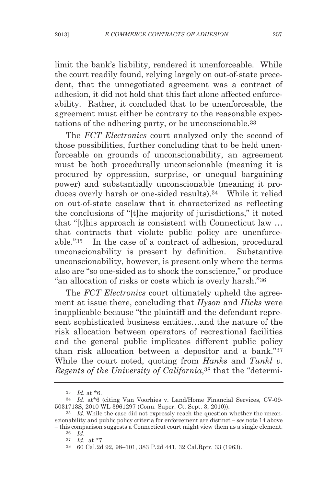limit the bank's liability, rendered it unenforceable. While the court readily found, relying largely on out-of-state precedent, that the unnegotiated agreement was a contract of adhesion, it did not hold that this fact alone affected enforceability. Rather, it concluded that to be unenforceable, the agreement must either be contrary to the reasonable expectations of the adhering party, or be unconscionable.33

The *FCT Electronics* court analyzed only the second of those possibilities, further concluding that to be held unenforceable on grounds of unconscionability, an agreement must be both procedurally unconscionable (meaning it is procured by oppression, surprise, or unequal bargaining power) and substantially unconscionable (meaning it produces overly harsh or one-sided results).34 While it relied on out-of-state caselaw that it characterized as reflecting the conclusions of "[t]he majority of jurisdictions," it noted that "[t]his approach is consistent with Connecticut law … that contracts that violate public policy are unenforceable."35 In the case of a contract of adhesion, procedural unconscionability is present by definition. Substantive unconscionability, however, is present only where the terms also are "so one-sided as to shock the conscience," or produce "an allocation of risks or costs which is overly harsh."36

The *FCT Electronics* court ultimately upheld the agreement at issue there, concluding that *Hyson* and *Hicks* were inapplicable because "the plaintiff and the defendant represent sophisticated business entities…and the nature of the risk allocation between operators of recreational facilities and the general public implicates different public policy than risk allocation between a depositor and a bank."37 While the court noted, quoting from *Hanks* and *Tunkl v. Regents of the University of California*,38 that the "determi-

<sup>33</sup> *Id*. at \*6.

<sup>34</sup> *Id*. at\*6 (citing Van Voorhies v. Land/Home Financial Services, CV-09- 5031713S, 2010 WL 3961297 (Conn. Super. Ct. Sept. 3, 2010)).

<sup>&</sup>lt;sup>35</sup> *Id.* While the case did not expressly reach the question whether the unconscionability and public policy criteria for enforcement are distinct – *see* note 14 above – this comparison suggests a Connecticut court might view them as a single element.

<sup>36</sup> *Id*. 37 *Id*. at \*7.

<sup>38</sup> 60 Cal.2d 92, 98–101, 383 P.2d 441, 32 Cal.Rptr. 33 (1963).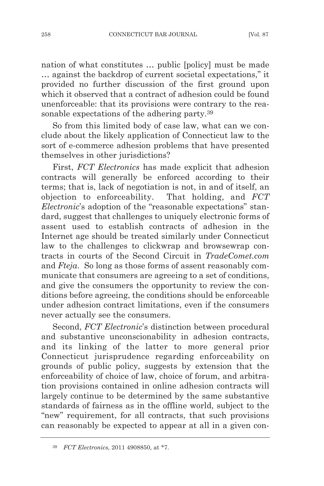nation of what constitutes … public [policy] must be made … against the backdrop of current societal expectations," it provided no further discussion of the first ground upon which it observed that a contract of adhesion could be found unenforceable: that its provisions were contrary to the reasonable expectations of the adhering party.39

So from this limited body of case law, what can we conclude about the likely application of Connecticut law to the sort of e-commerce adhesion problems that have presented themselves in other jurisdictions?

First, *FCT Electronics* has made explicit that adhesion contracts will generally be enforced according to their terms; that is, lack of negotiation is not, in and of itself, an objection to enforceability. That holding, and *FCT Electronic*'s adoption of the "reasonable expectations" standard, suggest that challenges to uniquely electronic forms of assent used to establish contracts of adhesion in the Internet age should be treated similarly under Connecticut law to the challenges to clickwrap and browsewrap contracts in courts of the Second Circuit in *TradeComet.com* and *Fteja*. So long as those forms of assent reasonably communicate that consumers are agreeing to a set of conditions, and give the consumers the opportunity to review the conditions before agreeing, the conditions should be enforceable under adhesion contract limitations, even if the consumers never actually see the consumers.

Second, *FCT Electronic*'s distinction between procedural and substantive unconscionability in adhesion contracts, and its linking of the latter to more general prior Connecticut jurisprudence regarding enforceability on grounds of public policy, suggests by extension that the enforceability of choice of law, choice of forum, and arbitration provisions contained in online adhesion contracts will largely continue to be determined by the same substantive standards of fairness as in the offline world, subject to the "new" requirement, for all contracts, that such provisions can reasonably be expected to appear at all in a given con-

<sup>39</sup> *FCT Electronics,* 2011 4908850, at \*7.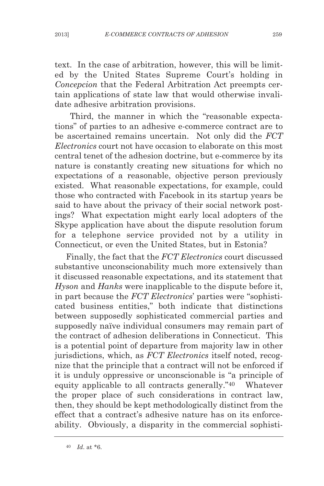text. In the case of arbitration, however, this will be limited by the United States Supreme Court's holding in *Concepcion* that the Federal Arbitration Act preempts certain applications of state law that would otherwise invalidate adhesive arbitration provisions.

Third, the manner in which the "reasonable expectations" of parties to an adhesive e-commerce contract are to be ascertained remains uncertain. Not only did the *FCT Electronics* court not have occasion to elaborate on this most central tenet of the adhesion doctrine, but e-commerce by its nature is constantly creating new situations for which no expectations of a reasonable, objective person previously existed. What reasonable expectations, for example, could those who contracted with Facebook in its startup years be said to have about the privacy of their social network postings? What expectation might early local adopters of the Skype application have about the dispute resolution forum for a telephone service provided not by a utility in Connecticut, or even the United States, but in Estonia?

Finally, the fact that the *FCT Electronics* court discussed substantive unconscionability much more extensively than it discussed reasonable expectations, and its statement that *Hyson* and *Hanks* were inapplicable to the dispute before it, in part because the *FCT Electronics*' parties were "sophisticated business entities," both indicate that distinctions between supposedly sophisticated commercial parties and supposedly naïve individual consumers may remain part of the contract of adhesion deliberations in Connecticut. This is a potential point of departure from majority law in other jurisdictions, which, as *FCT Electronics* itself noted, recognize that the principle that a contract will not be enforced if it is unduly oppressive or unconscionable is "a principle of equity applicable to all contracts generally."40 Whatever the proper place of such considerations in contract law, then, they should be kept methodologically distinct from the effect that a contract's adhesive nature has on its enforceability. Obviously, a disparity in the commercial sophisti-

<sup>40</sup> *Id*. at \*6.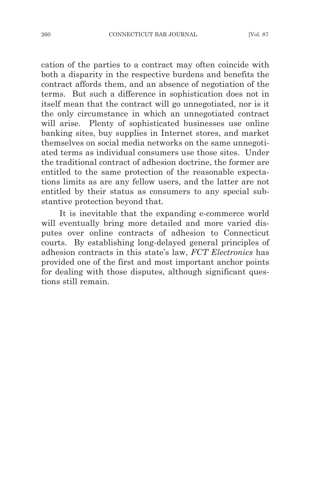cation of the parties to a contract may often coincide with both a disparity in the respective burdens and benefits the contract affords them, and an absence of negotiation of the terms. But such a difference in sophistication does not in itself mean that the contract will go unnegotiated, nor is it the only circumstance in which an unnegotiated contract will arise. Plenty of sophisticated businesses use online banking sites, buy supplies in Internet stores, and market themselves on social media networks on the same unnegotiated terms as individual consumers use those sites. Under the traditional contract of adhesion doctrine, the former are entitled to the same protection of the reasonable expectations limits as are any fellow users, and the latter are not entitled by their status as consumers to any special substantive protection beyond that.

It is inevitable that the expanding e-commerce world will eventually bring more detailed and more varied disputes over online contracts of adhesion to Connecticut courts. By establishing long-delayed general principles of adhesion contracts in this state's law, *FCT Electronics* has provided one of the first and most important anchor points for dealing with those disputes, although significant questions still remain.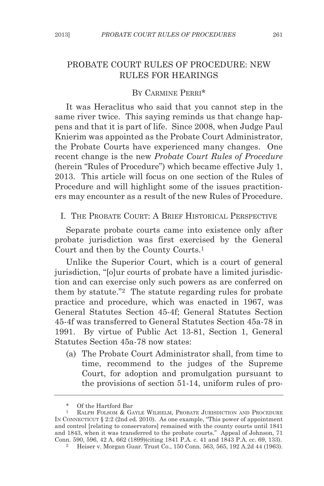# PROBATE COURT RULES OF PROCEDURE: NEW RULES FOR HEARINGS

### BY CARMINE PERRI\*

It was Heraclitus who said that you cannot step in the same river twice. This saying reminds us that change happens and that it is part of life. Since 2008, when Judge Paul Knierim was appointed as the Probate Court Administrator, the Probate Courts have experienced many changes. One recent change is the new *Probate Court Rules of Procedure* (herein "Rules of Procedure") which became effective July 1, 2013. This article will focus on one section of the Rules of Procedure and will highlight some of the issues practitioners may encounter as a result of the new Rules of Procedure.

I. THE PROBATE COURT: A BRIEF HISTORICAL PERSPECTIVE

Separate probate courts came into existence only after probate jurisdiction was first exercised by the General Court and then by the County Courts.1

Unlike the Superior Court, which is a court of general jurisdiction, "[o]ur courts of probate have a limited jurisdiction and can exercise only such powers as are conferred on them by statute."2 The statute regarding rules for probate practice and procedure, which was enacted in 1967, was General Statutes Section 45-4f; General Statutes Section 45-4f was transferred to General Statutes Section 45a-78 in 1991. By virtue of Public Act 13-81, Section 1, General Statutes Section 45a-78 now states:

(a) The Probate Court Administrator shall, from time to time, recommend to the judges of the Supreme Court, for adoption and promulgation pursuant to the provisions of section 51-14, uniform rules of pro-

<sup>\*</sup> Of the Hartford Bar<br>1 RALPH FOLSOM & GA

RALPH FOLSOM & GAYLE WILHELM, PROBATE JURISDICTION AND PROCEDURE IN CONNECTICUT § 2:2 (2nd ed. 2010). As one example, "This power of appointment and control [relating to conservators] remained with the county courts until 1841 and 1843, when it was transferred to the probate courts." Appeal of Johnson, 71 Conn. 590, 596, 42 A. 662 (1899)(citing 1841 P.A. c. 41 and 1843 P.A. cc. 69, 133).

<sup>&</sup>lt;sup>2</sup> Heiser v. Morgan Guar. Trust Co., 150 Conn. 563, 565, 192 A.2d 44 (1963).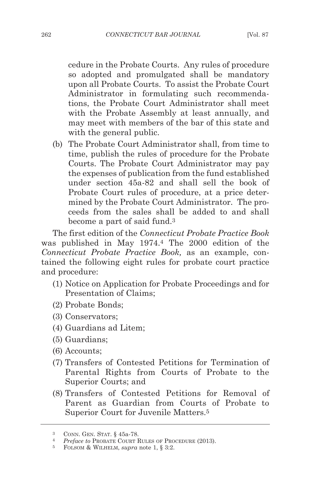cedure in the Probate Courts. Any rules of procedure so adopted and promulgated shall be mandatory upon all Probate Courts. To assist the Probate Court Administrator in formulating such recommendations, the Probate Court Administrator shall meet with the Probate Assembly at least annually, and may meet with members of the bar of this state and with the general public.

(b) The Probate Court Administrator shall, from time to time, publish the rules of procedure for the Probate Courts. The Probate Court Administrator may pay the expenses of publication from the fund established under section 45a-82 and shall sell the book of Probate Court rules of procedure, at a price determined by the Probate Court Administrator. The proceeds from the sales shall be added to and shall become a part of said fund.3

The first edition of the *Connecticut Probate Practice Book* was published in May 1974.4 The 2000 edition of the *Connecticut Probate Practice Book,* as an example, contained the following eight rules for probate court practice and procedure:

- (1) Notice on Application for Probate Proceedings and for Presentation of Claims;
- (2) Probate Bonds;
- (3) Conservators;
- (4) Guardians ad Litem;
- (5) Guardians;
- (6) Accounts;
- (7) Transfers of Contested Petitions for Termination of Parental Rights from Courts of Probate to the Superior Courts; and
- (8) Transfers of Contested Petitions for Removal of Parent as Guardian from Courts of Probate to Superior Court for Juvenile Matters.5

<sup>3</sup> CONN. GEN. STAT. § 45a-78.

<sup>4</sup> *Preface to* PROBATE COURT RULES OF PROCEDURE (2013). 5 FOLSOM & WILHELM, *supra* note 1, § 3:2.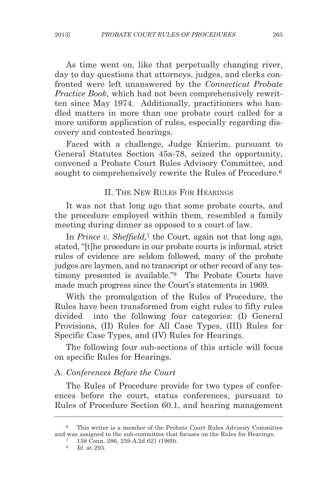As time went on, like that perpetually changing river, day to day questions that attorneys, judges, and clerks confronted were left unanswered by the *Connecticut Probate Practice Book,* which had not been comprehensively rewritten since May 1974. Additionally, practitioners who handled matters in more than one probate court called for a more uniform application of rules, especially regarding discovery and contested hearings.

Faced with a challenge, Judge Knierim, pursuant to General Statutes Section 45a-78, seized the opportunity, convened a Probate Court Rules Advisory Committee, and sought to comprehensively rewrite the Rules of Procedure.<sup>6</sup>

## II. THE NEW RULES FOR HEARINGS

It was not that long ago that some probate courts, and the procedure employed within them, resembled a family meeting during dinner as opposed to a court of law.

In *Prince v. Sheffield,*<sup>7</sup> the Court, again not that long ago, stated, "[t]he procedure in our probate courts is informal, strict rules of evidence are seldom followed, many of the probate judges are laymen, and no transcript or other record of any testimony presented is available."8 The Probate Courts have made much progress since the Court's statements in 1969.

With the promulgation of the Rules of Procedure, the Rules have been transformed from eight rules to fifty rules divided into the following four categories: (I) General Provisions, (II) Rules for All Case Types, (III) Rules for Specific Case Types, and (IV) Rules for Hearings.

The following four sub-sections of this article will focus on specific Rules for Hearings.

#### A. *Conferences Before the Court*

The Rules of Procedure provide for two types of conferences before the court, status conferences, pursuant to Rules of Procedure Section 60.1, and hearing management

<sup>6</sup> This writer is a member of the Probate Court Rules Advisory Committee and was assigned to the sub-committee that focuses on the Rules for Hearings. 7 158 Conn. 286, 259 A.2d 621 (1969).

<sup>8</sup> *Id*. at 293.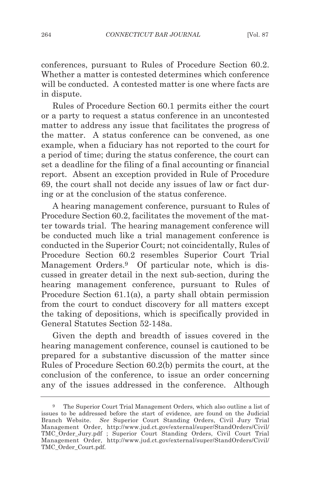conferences, pursuant to Rules of Procedure Section 60.2. Whether a matter is contested determines which conference will be conducted. A contested matter is one where facts are in dispute.

Rules of Procedure Section 60.1 permits either the court or a party to request a status conference in an uncontested matter to address any issue that facilitates the progress of the matter. A status conference can be convened, as one example, when a fiduciary has not reported to the court for a period of time; during the status conference, the court can set a deadline for the filing of a final accounting or financial report. Absent an exception provided in Rule of Procedure 69, the court shall not decide any issues of law or fact during or at the conclusion of the status conference.

A hearing management conference, pursuant to Rules of Procedure Section 60.2, facilitates the movement of the matter towards trial. The hearing management conference will be conducted much like a trial management conference is conducted in the Superior Court; not coincidentally, Rules of Procedure Section 60.2 resembles Superior Court Trial Management Orders.9 Of particular note, which is discussed in greater detail in the next sub-section, during the hearing management conference, pursuant to Rules of Procedure Section 61.1(a), a party shall obtain permission from the court to conduct discovery for all matters except the taking of depositions, which is specifically provided in General Statutes Section 52-148a.

Given the depth and breadth of issues covered in the hearing management conference, counsel is cautioned to be prepared for a substantive discussion of the matter since Rules of Procedure Section 60.2(b) permits the court, at the conclusion of the conference, to issue an order concerning any of the issues addressed in the conference. Although

<sup>9</sup> The Superior Court Trial Management Orders, which also outline a list of issues to be addressed before the start of evidence, are found on the Judicial Branch Website. *See* Superior Court Standing Orders, Civil Jury Trial Management Order, http://www.jud.ct.gov/external/super/StandOrders/Civil/ TMC\_Order\_Jury.pdf ; Superior Court Standing Orders, Civil Court Trial Management Order, http://www.jud.ct.gov/external/super/StandOrders/Civil/ TMC\_Order\_Court.pdf.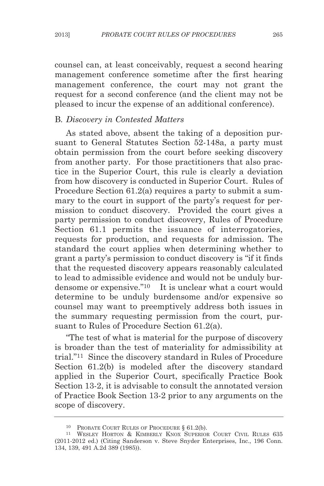counsel can, at least conceivably, request a second hearing management conference sometime after the first hearing management conference, the court may not grant the request for a second conference (and the client may not be pleased to incur the expense of an additional conference).

### B*. Discovery in Contested Matters*

As stated above, absent the taking of a deposition pursuant to General Statutes Section 52-148a, a party must obtain permission from the court before seeking discovery from another party. For those practitioners that also practice in the Superior Court, this rule is clearly a deviation from how discovery is conducted in Superior Court. Rules of Procedure Section 61.2(a) requires a party to submit a summary to the court in support of the party's request for permission to conduct discovery. Provided the court gives a party permission to conduct discovery, Rules of Procedure Section 61.1 permits the issuance of interrogatories, requests for production, and requests for admission. The standard the court applies when determining whether to grant a party's permission to conduct discovery is "if it finds that the requested discovery appears reasonably calculated to lead to admissible evidence and would not be unduly burdensome or expensive."10 It is unclear what a court would determine to be unduly burdensome and/or expensive so counsel may want to preemptively address both issues in the summary requesting permission from the court, pursuant to Rules of Procedure Section 61.2(a).

"The test of what is material for the purpose of discovery is broader than the test of materiality for admissibility at trial."11 Since the discovery standard in Rules of Procedure Section 61.2(b) is modeled after the discovery standard applied in the Superior Court, specifically Practice Book Section 13-2, it is advisable to consult the annotated version of Practice Book Section 13-2 prior to any arguments on the scope of discovery.

<sup>10</sup> PROBATE COURT RULES OF PROCEDURE § 61.2(b).

<sup>11</sup> WESLEY HORTON & KIMBERLY KNOX SUPERIOR COURT CIVIL RULES 635 (2011-2012 ed.) (Citing Sanderson v. Steve Snyder Enterprises, Inc., 196 Conn. 134, 139, 491 A.2d 389 (1985)).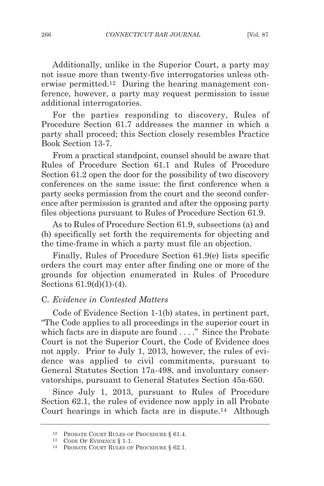Additionally, unlike in the Superior Court, a party may not issue more than twenty-five interrogatories unless otherwise permitted.12 During the hearing management conference, however, a party may request permission to issue additional interrogatories.

For the parties responding to discovery, Rules of Procedure Section 61.7 addresses the manner in which a party shall proceed; this Section closely resembles Practice Book Section 13-7.

From a practical standpoint, counsel should be aware that Rules of Procedure Section 61.1 and Rules of Procedure Section 61.2 open the door for the possibility of two discovery conferences on the same issue: the first conference when a party seeks permission from the court and the second conference after permission is granted and after the opposing party files objections pursuant to Rules of Procedure Section 61.9.

As to Rules of Procedure Section 61.9, subsections (a) and (b) specifically set forth the requirements for objecting and the time-frame in which a party must file an objection.

Finally, Rules of Procedure Section 61.9(e) lists specific orders the court may enter after finding one or more of the grounds for objection enumerated in Rules of Procedure Sections 61.9(d)(1)-(4).

#### C*. Evidence in Contested Matters*

Code of Evidence Section 1-1(b) states, in pertinent part, "The Code applies to all proceedings in the superior court in which facts are in dispute are found . . . . " Since the Probate Court is not the Superior Court, the Code of Evidence does not apply. Prior to July 1, 2013, however, the rules of evidence was applied to civil commitments, pursuant to General Statutes Section 17a-498, and involuntary conservatorships, pursuant to General Statutes Section 45a-650.

Since July 1, 2013, pursuant to Rules of Procedure Section 62.1, the rules of evidence now apply in all Probate Court hearings in which facts are in dispute.14 Although

<sup>12</sup> PROBATE COURT RULES OF PROCEDURE § 61.4.

<sup>13</sup> CODE OF EVIDENCE § 1-1.

<sup>14</sup> PROBATE COURT RULES OF PROCEDURE § 62.1.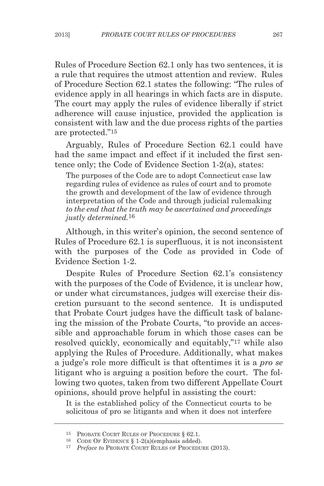Rules of Procedure Section 62.1 only has two sentences, it is a rule that requires the utmost attention and review. Rules of Procedure Section 62.1 states the following: "The rules of evidence apply in all hearings in which facts are in dispute. The court may apply the rules of evidence liberally if strict adherence will cause injustice, provided the application is consistent with law and the due process rights of the parties are protected."15

Arguably, Rules of Procedure Section 62.1 could have had the same impact and effect if it included the first sentence only; the Code of Evidence Section 1-2(a), states:

The purposes of the Code are to adopt Connecticut case law regarding rules of evidence as rules of court and to promote the growth and development of the law of evidence through interpretation of the Code and through judicial rulemaking *to the end that the truth may be ascertained and proceedings justly determined.*16

Although, in this writer's opinion, the second sentence of Rules of Procedure 62.1 is superfluous, it is not inconsistent with the purposes of the Code as provided in Code of Evidence Section 1-2.

Despite Rules of Procedure Section 62.1's consistency with the purposes of the Code of Evidence, it is unclear how, or under what circumstances, judges will exercise their discretion pursuant to the second sentence. It is undisputed that Probate Court judges have the difficult task of balancing the mission of the Probate Courts, "to provide an accessible and approachable forum in which those cases can be resolved quickly, economically and equitably,"17 while also applying the Rules of Procedure. Additionally, what makes a judge's role more difficult is that oftentimes it is a *pro se* litigant who is arguing a position before the court. The following two quotes, taken from two different Appellate Court opinions, should prove helpful in assisting the court:

It is the established policy of the Connecticut courts to be solicitous of pro se litigants and when it does not interfere

<sup>&</sup>lt;sup>15</sup> PROBATE COURT RULES OF PROCEDURE § 62.1.<br><sup>16</sup> CODE OF EVIDENCE § 1-2(a)(emphasis added).

<sup>&</sup>lt;sup>17</sup> Preface to PROBATE COURT RULES OF PROCEDURE (2013).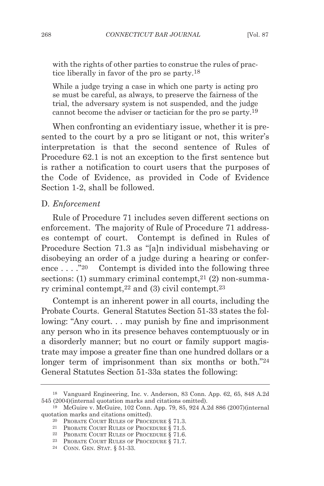with the rights of other parties to construe the rules of practice liberally in favor of the pro se party.18

While a judge trying a case in which one party is acting pro se must be careful, as always, to preserve the fairness of the trial, the adversary system is not suspended, and the judge cannot become the adviser or tactician for the pro se party.19

When confronting an evidentiary issue, whether it is presented to the court by a pro se litigant or not, this writer's interpretation is that the second sentence of Rules of Procedure 62.1 is not an exception to the first sentence but is rather a notification to court users that the purposes of the Code of Evidence, as provided in Code of Evidence Section 1-2, shall be followed.

#### D*. Enforcement*

Rule of Procedure 71 includes seven different sections on enforcement. The majority of Rule of Procedure 71 addresses contempt of court. Contempt is defined in Rules of Procedure Section 71.3 as "[a]n individual misbehaving or disobeying an order of a judge during a hearing or conference  $\dots$  ."<sup>20</sup> Contempt is divided into the following three sections: (1) summary criminal contempt,  $21$  (2) non-summary criminal contempt,22 and (3) civil contempt.23

Contempt is an inherent power in all courts, including the Probate Courts. General Statutes Section 51-33 states the following: "Any court. . . may punish by fine and imprisonment any person who in its presence behaves contemptuously or in a disorderly manner; but no court or family support magistrate may impose a greater fine than one hundred dollars or a longer term of imprisonment than six months or both."<sup>24</sup> General Statutes Section 51-33a states the following:

<sup>18</sup> Vanguard Engineering, Inc. v. Anderson, 83 Conn. App. 62, 65, 848 A.2d 545 (2004)(internal quotation marks and citations omitted).

<sup>19</sup> McGuire v. McGuire, 102 Conn. App. 79, 85, 924 A.2d 886 (2007)(internal quotation marks and citations omitted).

<sup>20</sup> PROBATE COURT RULES OF PROCEDURE § 71.3.

<sup>21</sup> PROBATE COURT RULES OF PROCEDURE § 71.5.

<sup>22</sup> PROBATE COURT RULES OF PROCEDURE § 71.6.

<sup>&</sup>lt;sup>23</sup> PROBATE COURT RULES OF PROCEDURE  $\S 71.7$ .<br><sup>24</sup> CONN. GEN. STAT.  $\S 51-33$ .